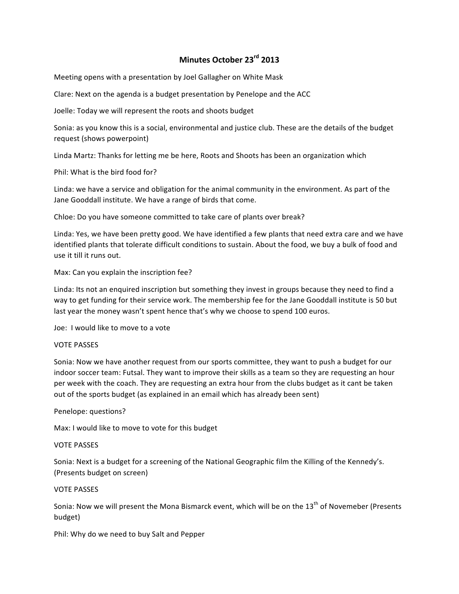# **Minutes October 23rd 2013**

Meeting opens with a presentation by Joel Gallagher on White Mask

Clare: Next on the agenda is a budget presentation by Penelope and the ACC

Joelle: Today we will represent the roots and shoots budget

Sonia: as you know this is a social, environmental and justice club. These are the details of the budget request (shows powerpoint)

Linda Martz: Thanks for letting me be here, Roots and Shoots has been an organization which

Phil: What is the bird food for?

Linda: we have a service and obligation for the animal community in the environment. As part of the Jane Gooddall institute. We have a range of birds that come.

Chloe: Do you have someone committed to take care of plants over break?

Linda: Yes, we have been pretty good. We have identified a few plants that need extra care and we have identified plants that tolerate difficult conditions to sustain. About the food, we buy a bulk of food and use it till it runs out.

Max: Can you explain the inscription fee?

Linda: Its not an enquired inscription but something they invest in groups because they need to find a way to get funding for their service work. The membership fee for the Jane Gooddall institute is 50 but last year the money wasn't spent hence that's why we choose to spend 100 euros.

Joe: I would like to move to a vote

### **VOTE PASSES**

Sonia: Now we have another request from our sports committee, they want to push a budget for our indoor soccer team: Futsal. They want to improve their skills as a team so they are requesting an hour per week with the coach. They are requesting an extra hour from the clubs budget as it cant be taken out of the sports budget (as explained in an email which has already been sent)

Penelope: questions?

Max: I would like to move to vote for this budget

### **VOTE PASSES**

Sonia: Next is a budget for a screening of the National Geographic film the Killing of the Kennedy's. (Presents budget on screen)

### VOTE PASSES

Sonia: Now we will present the Mona Bismarck event, which will be on the 13<sup>th</sup> of Novemeber (Presents budget)

Phil: Why do we need to buy Salt and Pepper